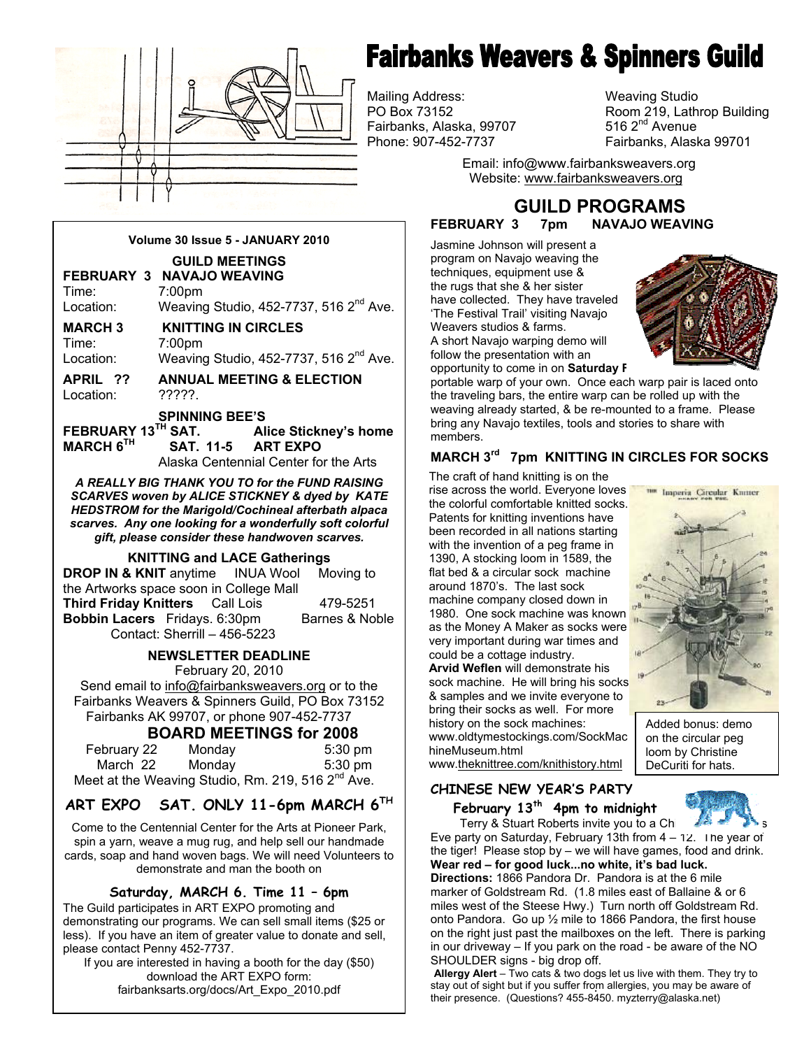

# **Fairbanks Weavers & Spinners Guild**

Mailing Address: Weaving Studio Fairbanks, Alaska, 99707

Room 219, Lathrop Building<br>516  $2<sup>nd</sup>$  Avenue Phone: 907-452-7737 Fairbanks, Alaska 99701

> Email: info@www.fairbanksweavers.org Website: www.fairbanksweavers.org

# **GUILD PROGRAMS FEBRUARY 3 7pm NAVAJO WEAVING**

Jasmine Johnson will present a program on Navajo weaving the techniques, equipment use & the rugs that she & her sister have collected. They have traveled 'The Festival Trail' visiting Navajo Weavers studios & farms. A short Navajo warping demo will follow the presentation with an opportunity to come in on **Saturday F** 



portable warp of your own. Once each warp pair is laced onto the traveling bars, the entire warp can be rolled up with the weaving already started, & be re-mounted to a frame. Please bring any Navajo textiles, tools and stories to share with members.

# **MARCH 3rd 7pm KNITTING IN CIRCLES FOR SOCKS**

rise across the world. Everyone loves  1390, A stocking loom in 1589, the  & samples and we invite everyone to The craft of hand knitting is on the the colorful comfortable knitted socks. Patents for knitting inventions have been recorded in all nations starting with the invention of a peg frame in flat bed & a circular sock machine around 1870's. The last sock machine company closed down in 1980. One sock machine was known as the Money A Maker as socks were very important during war times and could be a cottage industry. **Arvid Weflen** will demonstrate his sock machine. He will bring his socks bring their socks as well. For more history on the sock machines: www.oldtymestockings.com/SockMac hineMuseum.html www.theknittree.com/knithistory.html

Terry & Stuart Roberts invite you to a Chi Eve party on Saturday, February 13th from  $4 - 12$ . The year of the tiger! Please stop by – we will have games, food and drink. **Wear red – for good luck...no white, it's bad luck.**

**Directions:** 1866 Pandora Dr. Pandora is at the 6 mile marker of Goldstream Rd. (1.8 miles east of Ballaine & or 6 miles west of the Steese Hwy.) Turn north off Goldstream Rd. onto Pandora. Go up ½ mile to 1866 Pandora, the first house on the right just past the mailboxes on the left. There is parking in our driveway – If you park on the road - be aware of the NO SHOULDER signs - big drop off.

**Allergy Alert** – Two cats & two dogs let us live with them. They try to stay out of sight but if you suffer from allergies, you may be aware of . their presence. (Questions? 455-8450. myzterry@alaska.net)



Added bonus: demo on the circular peg loom by Christine DeCuriti for hats.

# **CHINESE NEW YEAR'S PARTY**

 **February 13th 4pm to midnight**



Come to the Centennial Center for the Arts at Pioneer Park, spin a yarn, weave a mug rug, and help sell our handmade cards, soap and hand woven bags. We will need Volunteers to demonstrate and man the booth on

Meet at the Weaving Studio, Rm. 219, 516  $2<sup>nd</sup>$  Ave.

**ART EXPO SAT. ONLY 11-6pm MARCH 6TH**

# **Saturday, MARCH 6. Time 11 – 6pm**

The Guild participates in ART EXPO promoting and demonstrating our programs. We can sell small items (\$25 or less). If you have an item of greater value to donate and sell, please contact Penny 452-7737.

If you are interested in having a booth for the day (\$50) download the ART EXPO form: fairbanksarts.org/docs/Art\_Expo\_2010.pdf

# **Volume 30 Issue 5 - JANUARY 2010**

**GUILD MEETINGS FEBRUARY 3 NAVAJO WEAVING**  Time: 7:00pm Location: Weaving Studio, 452-7737, 516 2<sup>nd</sup> Ave. **MARCH 3 KNITTING IN CIRCLES**  Time: 7:00pm Location: Weaving Studio, 452-7737, 516 2<sup>nd</sup> Ave. **APRIL ?? ANNUAL MEETING & ELECTION**  Location: ?????.

**SPINNING BEE'S** 

**FEBRUARY 13TH SAT. Alice Stickney's home MARCH 6TH SAT. 11-5 ART EXPO** 

Alaska Centennial Center for the Arts

*A REALLY BIG THANK YOU TO for the FUND RAISING SCARVES woven by ALICE STICKNEY & dyed by KATE HEDSTROM for the Marigold/Cochineal afterbath alpaca scarves. Any one looking for a wonderfully soft colorful gift, please consider these handwoven scarves.* 

#### **KNITTING and LACE Gatherings**

| <b>DROP IN &amp; KNIT anytime INUA Wool</b> |  | Moving to      |  |
|---------------------------------------------|--|----------------|--|
| the Artworks space soon in College Mall     |  |                |  |
| <b>Third Friday Knitters</b> Call Lois      |  | 479-5251       |  |
| Bobbin Lacers Fridays. 6:30pm               |  | Barnes & Noble |  |
| Contact: Sherrill - 456-5223                |  |                |  |

# **NEWSLETTER DEADLINE**

February 20, 2010

Send email to info@fairbanksweavers.org or to the Fairbanks Weavers & Spinners Guild, PO Box 73152 Fairbanks AK 99707, or phone 907-452-7737

March 22

# **BOARD MEETINGS for 2008**  February 22 Monday 5:30 pm<br>March 22 Monday 5:30 pm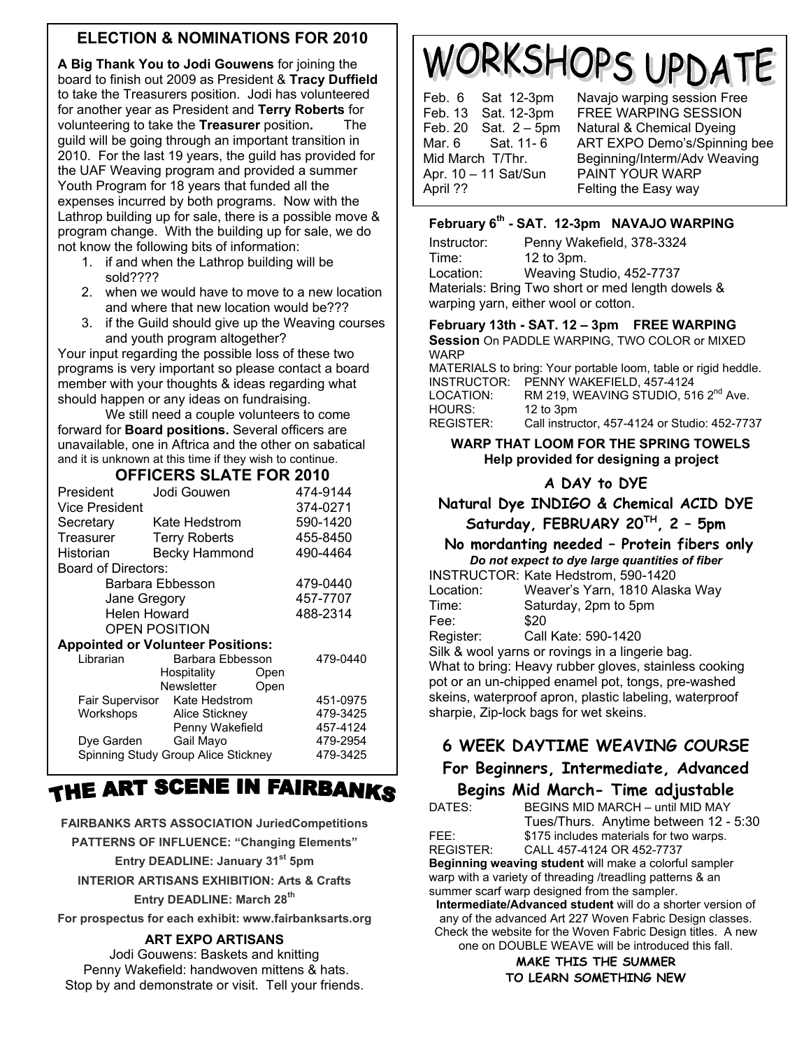# **ELECTION & NOMINATIONS FOR 2010**

**A Big Thank You to Jodi Gouwens** for joining the board to finish out 2009 as President & **Tracy Duffield**  to take the Treasurers position. Jodi has volunteered for another year as President and **Terry Roberts** for volunteering to take the **Treasurer** position**.** The guild will be going through an important transition in 2010. For the last 19 years, the guild has provided for the UAF Weaving program and provided a summer Youth Program for 18 years that funded all the expenses incurred by both programs. Now with the Lathrop building up for sale, there is a possible move & program change. With the building up for sale, we do not know the following bits of information:

- 1. if and when the Lathrop building will be sold????
- 2. when we would have to move to a new location and where that new location would be???
- 3. if the Guild should give up the Weaving courses and youth program altogether?

Your input regarding the possible loss of these two programs is very important so please contact a board member with your thoughts & ideas regarding what should happen or any ideas on fundraising.

 We still need a couple volunteers to come forward for **Board positions.** Several officers are unavailable, one in Aftrica and the other on sabatical and it is unknown at this time if they wish to continue.

# **OFFICERS SLATE FOR 2010**

| Jodi Gouwen<br>President                 | 474-9144 |
|------------------------------------------|----------|
| Vice President                           | 374-0271 |
| Kate Hedstrom<br>Secretary               | 590-1420 |
| Treasurer<br><b>Terry Roberts</b>        | 455-8450 |
| <b>Becky Hammond</b><br>Historian        | 490-4464 |
| Board of Directors:                      |          |
| Barbara Ebbesson                         | 479-0440 |
| Jane Gregory                             | 457-7707 |
| <b>Helen Howard</b>                      | 488-2314 |
| <b>OPEN POSITION</b>                     |          |
| <b>Appointed or Volunteer Positions:</b> |          |
| Librarian<br>Barbara Ebbesson            | 479-0440 |
| Hospitality<br>Open                      |          |
| Newsletter<br>Open                       |          |
| Fair Supervisor Kate Hedstrom            | 451-0975 |
| Workshops<br>Alice Stickney              | 479-3425 |
| Penny Wakefield                          | 457-4124 |
| Gail Mayo<br>Dye Garden                  | 479-2954 |
| Spinning Study Group Alice Stickney      | 479-3425 |

# THE ART SCENE IN FAIRBANKS

**FAIRBANKS ARTS ASSOCIATION JuriedCompetitions PATTERNS OF INFLUENCE: "Changing Elements"** 

**Entry DEADLINE: January 31st 5pm** 

**INTERIOR ARTISANS EXHIBITION: Arts & Crafts Entry DEADLINE: March 28th** 

**For prospectus for each exhibit: www.fairbanksarts.org** 

# **ART EXPO ARTISANS**

Jodi Gouwens: Baskets and knitting Penny Wakefield: handwoven mittens & hats. Stop by and demonstrate or visit. Tell your friends.

# WORKSHOPS UPDA

| Feb. 6              | Sat 12-3pm           |  |
|---------------------|----------------------|--|
| <sup>=</sup> eb. 13 | Sat. 12-3pm          |  |
| Feb. 20             | Sat. 2 – 5pm         |  |
| Mar. 6              | Sat. 11- 6           |  |
| Mid March T/Thr.    |                      |  |
|                     | Apr. 10 – 11 Sat/Sun |  |
| Poril ??            |                      |  |

Navajo warping session Free Feb. 13 Sat. 12-3pm FREE WARPING SESSION Feb. 20 Sat. 2 – 5pm Natural & Chemical Dyeing Mar. 6 Sat. 11- 6 ART EXPO Demo's/Spinning bee Mid March T/Thr. Beginning/Interm/Adv Weaving PAINT YOUR WARP Felting the Easy way

# **February 6th - SAT. 12-3pm NAVAJO WARPING**

Instructor: Penny Wakefield, 378-3324 Time: 12 to 3pm. Location: Weaving Studio, 452-7737 Materials: Bring Two short or med length dowels & warping yarn, either wool or cotton.

## **February 13th - SAT. 12 – 3pm FREE WARPING**

**Session** On PADDLE WARPING, TWO COLOR or MIXED **WARP** 

MATERIALS to bring: Your portable loom, table or rigid heddle. INSTRUCTOR: PENNY WAKEFIELD, 457-4124 LOCATION: RM 219, WEAVING STUDIO, 516 2<sup>nd</sup> Ave. HOURS: 12 to 3pm REGISTER: Call instructor, 457-4124 or Studio: 452-7737

# **WARP THAT LOOM FOR THE SPRING TOWELS Help provided for designing a project**

# **A DAY to DYE**

**Natural Dye INDIGO & Chemical ACID DYE Saturday, FEBRUARY 20TH, 2 – 5pm** 

#### **No mordanting needed – Protein fibers only**  *Do not expect to dye large quantities of fiber*

| <u>Do not capell to ave large quantities of noch</u> |                                            |  |
|------------------------------------------------------|--------------------------------------------|--|
|                                                      | <b>INSTRUCTOR: Kate Hedstrom, 590-1420</b> |  |
| Location:                                            | Weaver's Yarn, 1810 Alaska Way             |  |
| Time:                                                | Saturday, 2pm to 5pm                       |  |
| Fee:                                                 | \$20                                       |  |
| Register:                                            | Call Kate: 590-1420                        |  |
| Silk & wool yarns or rovings in a lingerie bag.      |                                            |  |

What to bring: Heavy rubber gloves, stainless cooking pot or an un-chipped enamel pot, tongs, pre-washed skeins, waterproof apron, plastic labeling, waterproof sharpie, Zip-lock bags for wet skeins.

# **6 WEEK DAYTIME WEAVING COURSE**

# **For Beginners, Intermediate, Advanced**

**Begins Mid March- Time adjustable** 

DATES: BEGINS MID MARCH – until MID MAY Tues/Thurs. Anytime between 12 - 5:30 FEE: \$175 includes materials for two warps.

REGISTER: CALL 457-4124 OR 452-7737 **Beginning weaving student** will make a colorful sampler warp with a variety of threading /treadling patterns & an summer scarf warp designed from the sampler.

**Intermediate/Advanced student** will do a shorter version of any of the advanced Art 227 Woven Fabric Design classes. Check the website for the Woven Fabric Design titles. A new one on DOUBLE WEAVE will be introduced this fall.

> **MAKE THIS THE SUMMER TO LEARN SOMETHING NEW**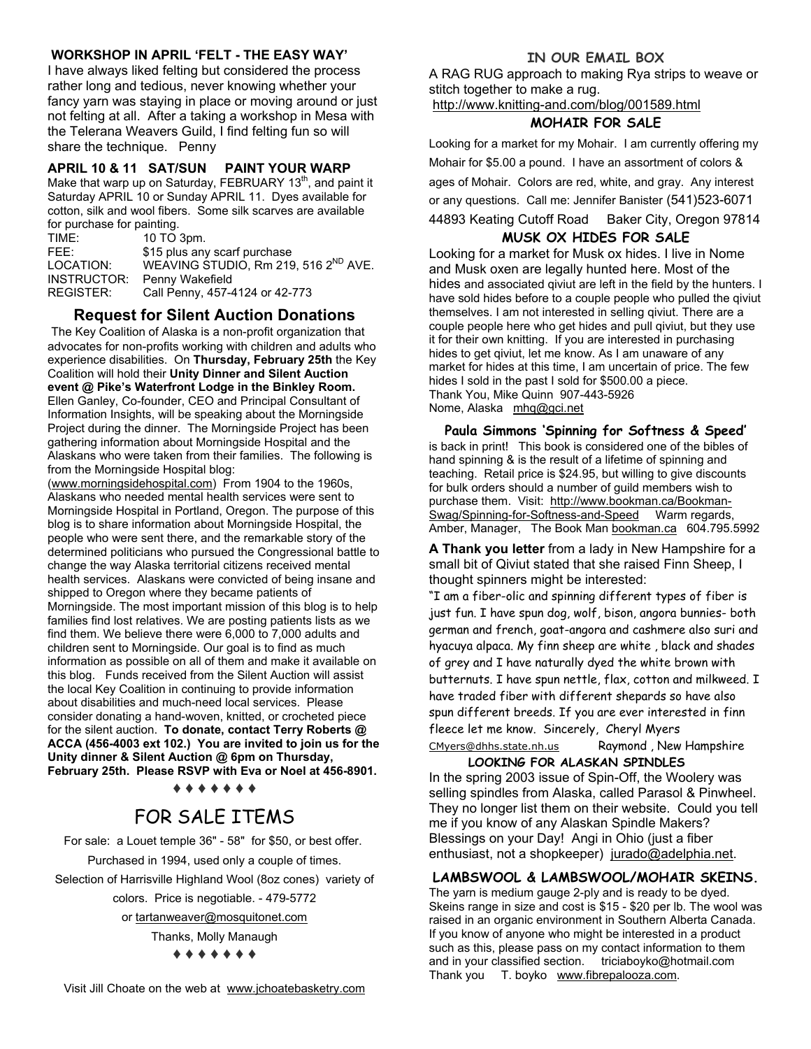#### **WORKSHOP IN APRIL 'FELT - THE EASY WAY'**

I have always liked felting but considered the process rather long and tedious, never knowing whether your fancy yarn was staying in place or moving around or just not felting at all. After a taking a workshop in Mesa with the Telerana Weavers Guild, I find felting fun so will share the technique. Penny

#### **APRIL 10 & 11 SAT/SUN PAINT YOUR WARP**

Make that warp up on Saturday, FEBRUARY  $13<sup>th</sup>$ , and paint it Saturday APRIL 10 or Sunday APRIL 11. Dyes available for cotton, silk and wool fibers. Some silk scarves are available for purchase for painting.

| TIME:            | 10 TO 3pm.                                       |
|------------------|--------------------------------------------------|
| FFF:             | \$15 plus any scarf purchase                     |
| LOCATION:        | WEAVING STUDIO, Rm 219, 516 2 <sup>ND</sup> AVE. |
| INSTRUCTOR:      | Penny Wakefield                                  |
| <b>REGISTER:</b> | Call Penny, 457-4124 or 42-773                   |
|                  |                                                  |

# **Request for Silent Auction Donations**

The Key Coalition of Alaska is a non-profit organization that advocates for non-profits working with children and adults who experience disabilities. On **Thursday, February 25th** the Key Coalition will hold their **Unity Dinner and Silent Auction event @ Pike's Waterfront Lodge in the Binkley Room.**  Ellen Ganley, Co-founder, CEO and Principal Consultant of Information Insights, will be speaking about the Morningside Project during the dinner. The Morningside Project has been gathering information about Morningside Hospital and the Alaskans who were taken from their families. The following is from the Morningside Hospital blog:

(www.morningsidehospital.com)From 1904 to the 1960s, Alaskans who needed mental health services were sent to Morningside Hospital in Portland, Oregon. The purpose of this blog is to share information about Morningside Hospital, the people who were sent there, and the remarkable story of the determined politicians who pursued the Congressional battle to change the way Alaska territorial citizens received mental health services.Alaskans were convicted of being insane and shipped to Oregon where they became patients of Morningside. The most important mission of this blog is to help families find lost relatives. We are posting patients lists as we find them. We believe there were 6,000 to 7,000 adults and children sent to Morningside. Our goal is to find as much information as possible on all of them and make it available on this blog.Funds received from the Silent Auction will assist the local Key Coalition in continuing to provide information about disabilities and much-need local services. Please consider donating a hand-woven, knitted, or crocheted piece for the silent auction. **To donate, contact Terry Roberts @ ACCA (456-4003 ext 102.) You are invited to join us for the Unity dinner & Silent Auction @ 6pm on Thursday, February 25th. Please RSVP with Eva or Noel at 456-8901.** 

#### **♦ ♦ ♦ ♦ ♦ ♦ ♦**

# FOR SALE ITEMS

For sale: a Louet temple 36" - 58" for \$50, or best offer. Purchased in 1994, used only a couple of times. Selection of Harrisville Highland Wool (8oz cones) variety of colors. Price is negotiable. - 479-5772 or tartanweaver@mosquitonet.com Thanks, Molly Manaugh

**♦ ♦ ♦ ♦ ♦ ♦ ♦**

## **IN OUR EMAIL BOX**

A RAG RUG approach to making Rya strips to weave or stitch together to make a rug.

http://www.knitting-and.com/blog/001589.html

#### **MOHAIR FOR SALE**

Looking for a market for my Mohair. I am currently offering my Mohair for \$5.00 a pound. I have an assortment of colors & ages of Mohair. Colors are red, white, and gray. Any interest or any questions. Call me: Jennifer Banister (541)523-6071 44893 Keating Cutoff Road Baker City, Oregon 97814

#### **MUSK OX HIDES FOR SALE**

Looking for a market for Musk ox hides. I live in Nome and Musk oxen are legally hunted here. Most of the hides and associated qiviut are left in the field by the hunters. I have sold hides before to a couple people who pulled the qiviut themselves. I am not interested in selling qiviut. There are a couple people here who get hides and pull qiviut, but they use it for their own knitting. If you are interested in purchasing hides to get qiviut, let me know. As I am unaware of any market for hides at this time, I am uncertain of price. The few hides I sold in the past I sold for \$500.00 a piece. Thank You, Mike Quinn 907-443-5926 Nome, Alaska mhq@gci.net

**Paula Simmons 'Spinning for Softness & Speed'** is back in print! This book is considered one of the bibles of hand spinning & is the result of a lifetime of spinning and teaching. Retail price is \$24.95, but willing to give discounts for bulk orders should a number of guild members wish to purchase them. Visit: http://www.bookman.ca/Bookman-Swag/Spinning-for-Softness-and-Speed Warm regards, Amber, Manager, The Book Man bookman.ca 604.795.5992

**A Thank you letter** from a lady in New Hampshire for a small bit of Qiviut stated that she raised Finn Sheep, I thought spinners might be interested:

"I am a fiber-olic and spinning different types of fiber is just fun. I have spun dog, wolf, bison, angora bunnies- both german and french, goat-angora and cashmere also suri and hyacuya alpaca. My finn sheep are white , black and shades of grey and I have naturally dyed the white brown with butternuts. I have spun nettle, flax, cotton and milkweed. I have traded fiber with different shepards so have also spun different breeds. If you are ever interested in finn fleece let me know. Sincerely, Cheryl Myers

CMyers@dhhs.state.nh.us Raymond, New Hampshire

 **LOOKING FOR ALASKAN SPINDLES** In the spring 2003 issue of Spin-Off, the Woolery was selling spindles from Alaska, called Parasol & Pinwheel. They no longer list them on their website. Could you tell me if you know of any Alaskan Spindle Makers? Blessings on your Day! Angi in Ohio (just a fiber enthusiast, not a shopkeeper) jurado@adelphia.net.

#### **LAMBSWOOL & LAMBSWOOL/MOHAIR SKEINS.**

The yarn is medium gauge 2-ply and is ready to be dyed. Skeins range in size and cost is \$15 - \$20 per lb. The wool was raised in an organic environment in Southern Alberta Canada. If you know of anyone who might be interested in a product such as this, please pass on my contact information to them and in your classified section. triciaboyko@hotmail.com Thank you T. boyko www.fibrepalooza.com.